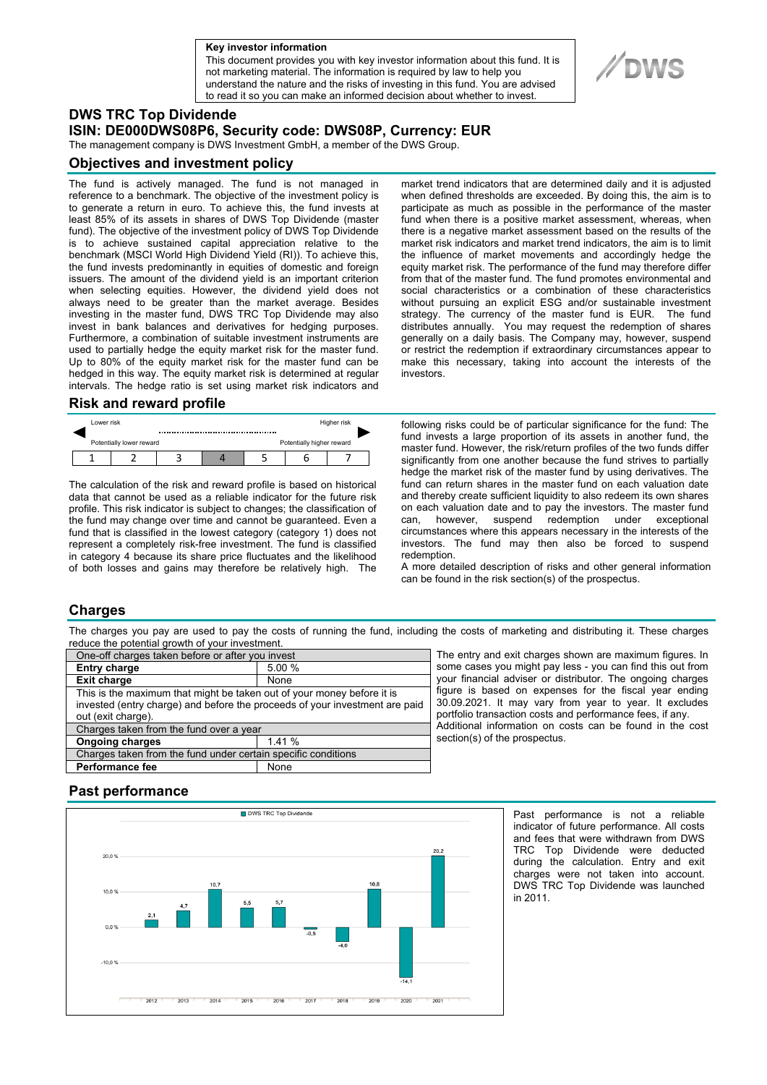#### **a Key investor information**

This document provides you with key investor information about this fund. It is not marketing material. The information is required by law to help you understand the nature and the risks of investing in this fund. You are advised to read it so you can make an informed decision about whether to invest.



The management company is DWS Investment GmbH, a member of the DWS Group.

#### **Objectives and investment policy**

The fund is actively managed. The fund is not managed in reference to a benchmark. The objective of the investment policy is to generate a return in euro. To achieve this, the fund invests at least 85% of its assets in shares of DWS Top Dividende (master fund). The objective of the investment policy of DWS Top Dividende is to achieve sustained capital appreciation relative to the benchmark (MSCI World High Dividend Yield (RI)). To achieve this, the fund invests predominantly in equities of domestic and foreign issuers. The amount of the dividend yield is an important criterion when selecting equities. However, the dividend yield does not always need to be greater than the market average. Besides investing in the master fund, DWS TRC Top Dividende may also invest in bank balances and derivatives for hedging purposes. Furthermore, a combination of suitable investment instruments are used to partially hedge the equity market risk for the master fund. Up to 80% of the equity market risk for the master fund can be hedged in this way. The equity market risk is determined at regular intervals. The hedge ratio is set using market risk indicators and

#### **Risk and reward profile**

|  | Lower risk               |  |  |  |                           | Higher risk |  |
|--|--------------------------|--|--|--|---------------------------|-------------|--|
|  | Potentially lower reward |  |  |  | Potentially higher reward |             |  |
|  |                          |  |  |  |                           |             |  |

The calculation of the risk and reward profile is based on historical data that cannot be used as a reliable indicator for the future risk profile. This risk indicator is subject to changes; the classification of the fund may change over time and cannot be guaranteed. Even a fund that is classified in the lowest category (category 1) does not represent a completely risk-free investment. The fund is classified in category 4 because its share price fluctuates and the likelihood of both losses and gains may therefore be relatively high. The

market trend indicators that are determined daily and it is adjusted when defined thresholds are exceeded. By doing this, the aim is to participate as much as possible in the performance of the master fund when there is a positive market assessment, whereas, when there is a negative market assessment based on the results of the market risk indicators and market trend indicators, the aim is to limit the influence of market movements and accordingly hedge the equity market risk. The performance of the fund may therefore differ from that of the master fund. The fund promotes environmental and social characteristics or a combination of these characteristics without pursuing an explicit ESG and/or sustainable investment strategy. The currency of the master fund is EUR. The fund distributes annually. You may request the redemption of shares generally on a daily basis. The Company may, however, suspend or restrict the redemption if extraordinary circumstances appear to make this necessary, taking into account the interests of the investors.

following risks could be of particular significance for the fund: The fund invests a large proportion of its assets in another fund, the master fund. However, the risk/return profiles of the two funds differ significantly from one another because the fund strives to partially hedge the market risk of the master fund by using derivatives. The fund can return shares in the master fund on each valuation date and thereby create sufficient liquidity to also redeem its own shares on each valuation date and to pay the investors. The master fund can, however, suspend redemption under exceptional circumstances where this appears necessary in the interests of the investors. The fund may then also be forced to suspend redemption.

A more detailed description of risks and other general information can be found in the risk section(s) of the prospectus.

## **Charges**

The charges you pay are used to pay the costs of running the fund, including the costs of marketing and distributing it. These charges reduce the potential growth of your investment.

| One-off charges taken before or after you invest                            |        |  |  |  |  |
|-----------------------------------------------------------------------------|--------|--|--|--|--|
| <b>Entry charge</b>                                                         | 5.00 % |  |  |  |  |
| <b>Exit charge</b>                                                          | None   |  |  |  |  |
| This is the maximum that might be taken out of your money before it is      |        |  |  |  |  |
| invested (entry charge) and before the proceeds of your investment are paid |        |  |  |  |  |
| out (exit charge).                                                          |        |  |  |  |  |
| Charges taken from the fund over a year                                     |        |  |  |  |  |
| <b>Ongoing charges</b>                                                      | 1.41%  |  |  |  |  |
| Charges taken from the fund under certain specific conditions               |        |  |  |  |  |
| <b>Performance fee</b>                                                      | None   |  |  |  |  |

The entry and exit charges shown are maximum figures. In some cases you might pay less - you can find this out from your financial adviser or distributor. The ongoing charges figure is based on expenses for the fiscal year ending 30.09.2021. It may vary from year to year. It excludes portfolio transaction costs and performance fees, if any. Additional information on costs can be found in the cost section(s) of the prospectus.

## **Past performance**



Past performance is not a reliable indicator of future performance. All costs and fees that were withdrawn from DWS TRC Top Dividende were deducted during the calculation. Entry and exit charges were not taken into account. DWS TRC Top Dividende was launched in 2011.